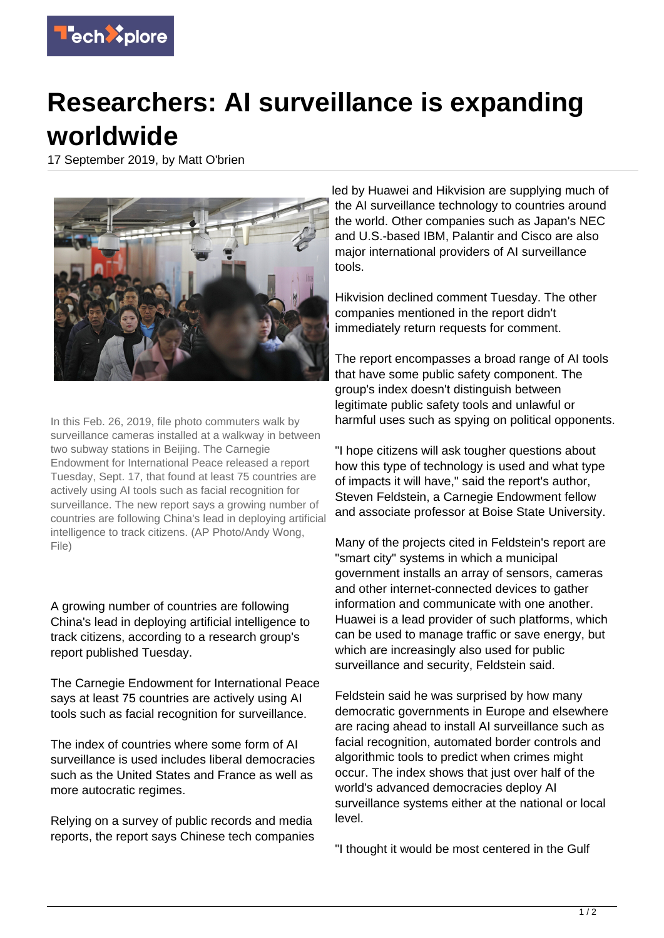

## **Researchers: AI surveillance is expanding worldwide**

17 September 2019, by Matt O'brien



In this Feb. 26, 2019, file photo commuters walk by surveillance cameras installed at a walkway in between two subway stations in Beijing. The Carnegie Endowment for International Peace released a report Tuesday, Sept. 17, that found at least 75 countries are actively using AI tools such as facial recognition for surveillance. The new report says a growing number of countries are following China's lead in deploying artificial intelligence to track citizens. (AP Photo/Andy Wong, File)

A growing number of countries are following China's lead in deploying artificial intelligence to track citizens, according to a research group's report published Tuesday.

The Carnegie Endowment for International Peace says at least 75 countries are actively using AI tools such as facial recognition for surveillance.

The index of countries where some form of AI surveillance is used includes liberal democracies such as the United States and France as well as more autocratic regimes.

Relying on a survey of public records and media reports, the report says Chinese tech companies led by Huawei and Hikvision are supplying much of the AI surveillance technology to countries around the world. Other companies such as Japan's NEC and U.S.-based IBM, Palantir and Cisco are also major international providers of AI surveillance tools.

Hikvision declined comment Tuesday. The other companies mentioned in the report didn't immediately return requests for comment.

The report encompasses a broad range of AI tools that have some public safety component. The group's index doesn't distinguish between legitimate public safety tools and unlawful or harmful uses such as spying on political opponents.

"I hope citizens will ask tougher questions about how this type of technology is used and what type of impacts it will have," said the report's author, Steven Feldstein, a Carnegie Endowment fellow and associate professor at Boise State University.

Many of the projects cited in Feldstein's report are "smart city" systems in which a municipal government installs an array of sensors, cameras and other internet-connected devices to gather information and communicate with one another. Huawei is a lead provider of such platforms, which can be used to manage traffic or save energy, but which are increasingly also used for public surveillance and security, Feldstein said.

Feldstein said he was surprised by how many democratic governments in Europe and elsewhere are racing ahead to install AI surveillance such as facial recognition, automated border controls and algorithmic tools to predict when crimes might occur. The index shows that just over half of the world's advanced democracies deploy AI surveillance systems either at the national or local level.

"I thought it would be most centered in the Gulf